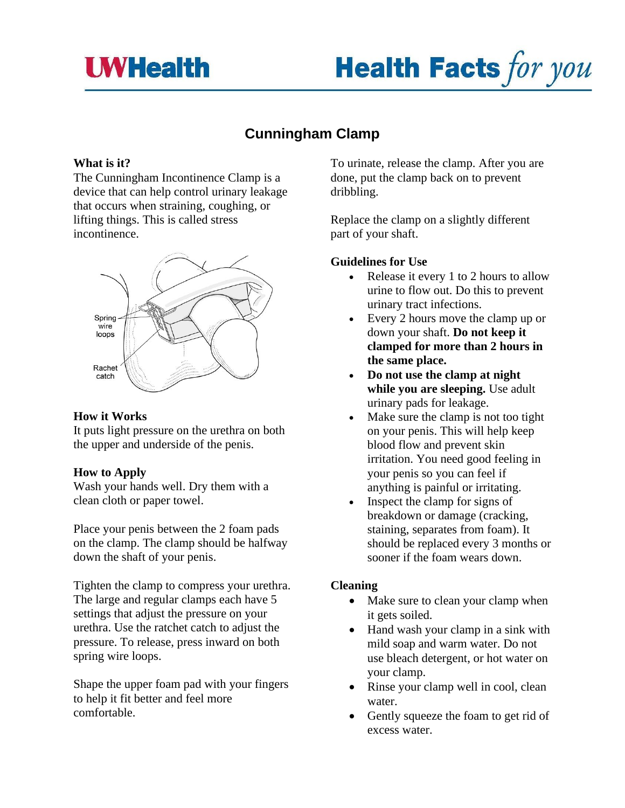



# **Cunningham Clamp**

### **What is it?**

The Cunningham Incontinence Clamp is a device that can help control urinary leakage that occurs when straining, coughing, or lifting things. This is called stress incontinence.



### **How it Works**

It puts light pressure on the urethra on both the upper and underside of the penis.

### **How to Apply**

Wash your hands well. Dry them with a clean cloth or paper towel.

Place your penis between the 2 foam pads on the clamp. The clamp should be halfway down the shaft of your penis.

Tighten the clamp to compress your urethra. The large and regular clamps each have 5 settings that adjust the pressure on your urethra. Use the ratchet catch to adjust the pressure. To release, press inward on both spring wire loops.

Shape the upper foam pad with your fingers to help it fit better and feel more comfortable.

To urinate, release the clamp. After you are done, put the clamp back on to prevent dribbling.

Replace the clamp on a slightly different part of your shaft.

### **Guidelines for Use**

- Release it every 1 to 2 hours to allow urine to flow out. Do this to prevent urinary tract infections.
- Every 2 hours move the clamp up or down your shaft. **Do not keep it clamped for more than 2 hours in the same place.**
- **Do not use the clamp at night while you are sleeping.** Use adult urinary pads for leakage.
- Make sure the clamp is not too tight on your penis. This will help keep blood flow and prevent skin irritation. You need good feeling in your penis so you can feel if anything is painful or irritating.
- Inspect the clamp for signs of breakdown or damage (cracking, staining, separates from foam). It should be replaced every 3 months or sooner if the foam wears down.

### **Cleaning**

- Make sure to clean your clamp when it gets soiled.
- Hand wash your clamp in a sink with mild soap and warm water. Do not use bleach detergent, or hot water on your clamp.
- Rinse your clamp well in cool, clean water.
- Gently squeeze the foam to get rid of excess water.